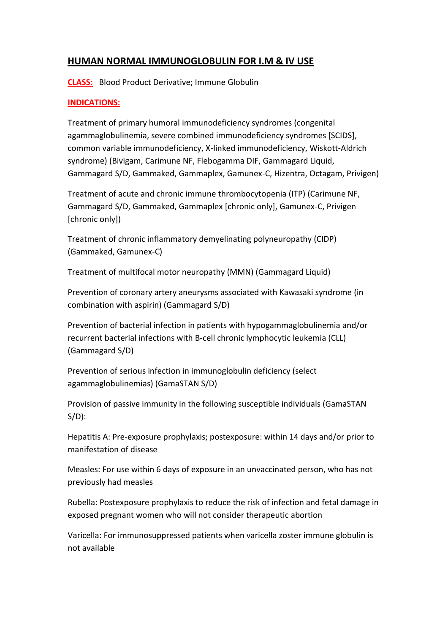# **HUMAN NORMAL IMMUNOGLOBULIN FOR I.M & IV USE**

**CLASS:** Blood Product Derivative; Immune Globulin

# **INDICATIONS:**

Treatment of primary humoral immunodeficiency syndromes (congenital agammaglobulinemia, severe combined immunodeficiency syndromes [SCIDS], common variable immunodeficiency, X-linked immunodeficiency, Wiskott-Aldrich syndrome) (Bivigam, Carimune NF, Flebogamma DIF, Gammagard Liquid, Gammagard S/D, Gammaked, Gammaplex, Gamunex-C, Hizentra, Octagam, Privigen)

Treatment of acute and chronic immune thrombocytopenia (ITP) (Carimune NF, Gammagard S/D, Gammaked, Gammaplex [chronic only], Gamunex-C, Privigen [chronic only])

Treatment of chronic inflammatory demyelinating polyneuropathy (CIDP) (Gammaked, Gamunex-C)

Treatment of multifocal motor neuropathy (MMN) (Gammagard Liquid)

Prevention of coronary artery aneurysms associated with Kawasaki syndrome (in combination with aspirin) (Gammagard S/D)

Prevention of bacterial infection in patients with hypogammaglobulinemia and/or recurrent bacterial infections with B-cell chronic lymphocytic leukemia (CLL) (Gammagard S/D)

Prevention of serious infection in immunoglobulin deficiency (select agammaglobulinemias) (GamaSTAN S/D)

Provision of passive immunity in the following susceptible individuals (GamaSTAN S/D):

Hepatitis A: Pre-exposure prophylaxis; postexposure: within 14 days and/or prior to manifestation of disease

Measles: For use within 6 days of exposure in an unvaccinated person, who has not previously had measles

Rubella: Postexposure prophylaxis to reduce the risk of infection and fetal damage in exposed pregnant women who will not consider therapeutic abortion

Varicella: For immunosuppressed patients when varicella zoster immune globulin is not available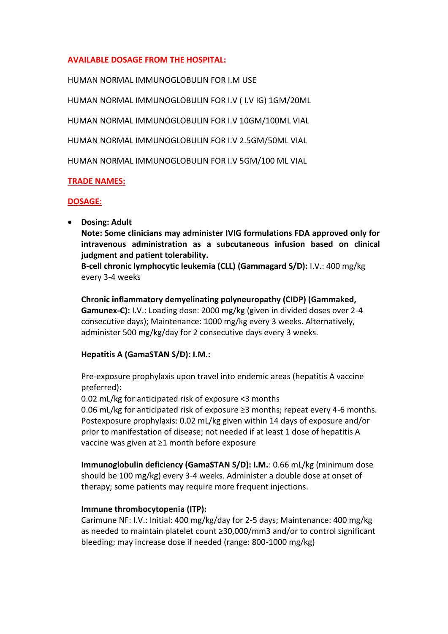# **AVAILABLE DOSAGE FROM THE HOSPITAL:**

HUMAN NORMAL IMMUNOGLOBULIN FOR I.M USE

HUMAN NORMAL IMMUNOGLOBULIN FOR I.V ( I.V IG) 1GM/20ML

HUMAN NORMAL IMMUNOGLOBULIN FOR I.V 10GM/100ML VIAL

HUMAN NORMAL IMMUNOGLOBULIN FOR I.V 2.5GM/50ML VIAL

HUMAN NORMAL IMMUNOGLOBULIN FOR I.V 5GM/100 ML VIAL

### **TRADE NAMES:**

### **DOSAGE:**

**•** Dosing: Adult

**Note: Some clinicians may administer IVIG formulations FDA approved only for intravenous administration as a subcutaneous infusion based on clinical judgment and patient tolerability.**

**B-cell chronic lymphocytic leukemia (CLL) (Gammagard S/D):** I.V.: 400 mg/kg every 3-4 weeks

**Chronic inflammatory demyelinating polyneuropathy (CIDP) (Gammaked, Gamunex-C):** I.V.: Loading dose: 2000 mg/kg (given in divided doses over 2-4 consecutive days); Maintenance: 1000 mg/kg every 3 weeks. Alternatively, administer 500 mg/kg/day for 2 consecutive days every 3 weeks.

# **Hepatitis A (GamaSTAN S/D): I.M.:**

Pre-exposure prophylaxis upon travel into endemic areas (hepatitis A vaccine preferred):

0.02 mL/kg for anticipated risk of exposure <3 months

0.06 mL/kg for anticipated risk of exposure ≥3 months; repeat every 4-6 months. Postexposure prophylaxis: 0.02 mL/kg given within 14 days of exposure and/or prior to manifestation of disease; not needed if at least 1 dose of hepatitis A vaccine was given at ≥1 month before exposure

**Immunoglobulin deficiency (GamaSTAN S/D): I.M.**: 0.66 mL/kg (minimum dose should be 100 mg/kg) every 3-4 weeks. Administer a double dose at onset of therapy; some patients may require more frequent injections.

#### **Immune thrombocytopenia (ITP):**

Carimune NF: I.V.: Initial: 400 mg/kg/day for 2-5 days; Maintenance: 400 mg/kg as needed to maintain platelet count ≥30,000/mm3 and/or to control significant bleeding; may increase dose if needed (range: 800-1000 mg/kg)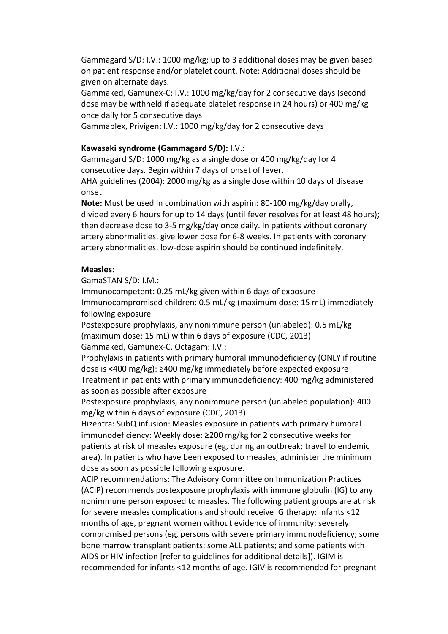Gammagard S/D: I.V.: 1000 mg/kg; up to 3 additional doses may be given based on patient response and/or platelet count. Note: Additional doses should be given on alternate days.

Gammaked, Gamunex-C: I.V.: 1000 mg/kg/day for 2 consecutive days (second dose may be withheld if adequate platelet response in 24 hours) or 400 mg/kg once daily for 5 consecutive days

Gammaplex, Privigen: I.V.: 1000 mg/kg/day for 2 consecutive days

#### **Kawasaki syndrome (Gammagard S/D):** I.V.:

Gammagard S/D: 1000 mg/kg as a single dose or 400 mg/kg/day for 4 consecutive days. Begin within 7 days of onset of fever.

AHA guidelines (2004): 2000 mg/kg as a single dose within 10 days of disease onset

**Note:** Must be used in combination with aspirin: 80-100 mg/kg/day orally, divided every 6 hours for up to 14 days (until fever resolves for at least 48 hours); then decrease dose to 3-5 mg/kg/day once daily. In patients without coronary artery abnormalities, give lower dose for 6-8 weeks. In patients with coronary artery abnormalities, low-dose aspirin should be continued indefinitely.

#### **Measles:**

GamaSTAN S/D: I.M.:

Immunocompetent: 0.25 mL/kg given within 6 days of exposure Immunocompromised children: 0.5 mL/kg (maximum dose: 15 mL) immediately following exposure

Postexposure prophylaxis, any nonimmune person (unlabeled): 0.5 mL/kg (maximum dose: 15 mL) within 6 days of exposure (CDC, 2013) Gammaked, Gamunex-C, Octagam: I.V.:

Prophylaxis in patients with primary humoral immunodeficiency (ONLY if routine dose is <400 mg/kg): ≥400 mg/kg immediately before expected exposure Treatment in patients with primary immunodeficiency: 400 mg/kg administered as soon as possible after exposure

Postexposure prophylaxis, any nonimmune person (unlabeled population): 400 mg/kg within 6 days of exposure (CDC, 2013)

Hizentra: SubQ infusion: Measles exposure in patients with primary humoral immunodeficiency: Weekly dose: ≥200 mg/kg for 2 consecutive weeks for patients at risk of measles exposure (eg, during an outbreak; travel to endemic area). In patients who have been exposed to measles, administer the minimum dose as soon as possible following exposure.

ACIP recommendations: The Advisory Committee on Immunization Practices (ACIP) recommends postexposure prophylaxis with immune globulin (IG) to any nonimmune person exposed to measles. The following patient groups are at risk for severe measles complications and should receive IG therapy: Infants <12 months of age, pregnant women without evidence of immunity; severely compromised persons (eg, persons with severe primary immunodeficiency; some bone marrow transplant patients; some ALL patients; and some patients with AIDS or HIV infection [refer to guidelines for additional details]). IGIM is recommended for infants <12 months of age. IGIV is recommended for pregnant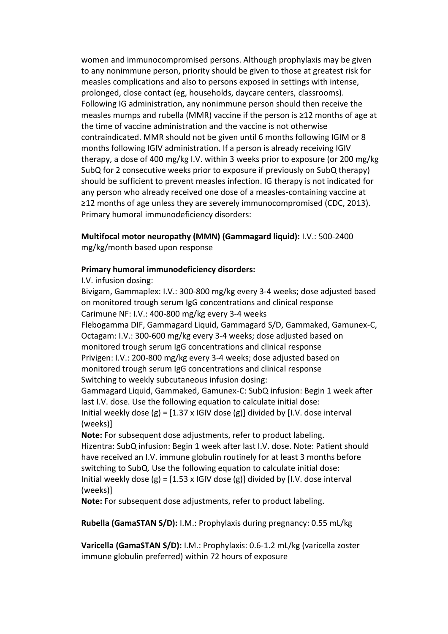women and immunocompromised persons. Although prophylaxis may be given to any nonimmune person, priority should be given to those at greatest risk for measles complications and also to persons exposed in settings with intense, prolonged, close contact (eg, households, daycare centers, classrooms). Following IG administration, any nonimmune person should then receive the measles mumps and rubella (MMR) vaccine if the person is ≥12 months of age at the time of vaccine administration and the vaccine is not otherwise contraindicated. MMR should not be given until 6 months following IGIM or 8 months following IGIV administration. If a person is already receiving IGIV therapy, a dose of 400 mg/kg I.V. within 3 weeks prior to exposure (or 200 mg/kg SubQ for 2 consecutive weeks prior to exposure if previously on SubQ therapy) should be sufficient to prevent measles infection. IG therapy is not indicated for any person who already received one dose of a measles-containing vaccine at ≥12 months of age unless they are severely immunocompromised (CDC, 2013). Primary humoral immunodeficiency disorders:

**Multifocal motor neuropathy (MMN) (Gammagard liquid):** I.V.: 500-2400

mg/kg/month based upon response

### **Primary humoral immunodeficiency disorders:**

I.V. infusion dosing:

Bivigam, Gammaplex: I.V.: 300-800 mg/kg every 3-4 weeks; dose adjusted based on monitored trough serum IgG concentrations and clinical response Carimune NF: I.V.: 400-800 mg/kg every 3-4 weeks Flebogamma DIF, Gammagard Liquid, Gammagard S/D, Gammaked, Gamunex-C, Octagam: I.V.: 300-600 mg/kg every 3-4 weeks; dose adjusted based on monitored trough serum IgG concentrations and clinical response Privigen: I.V.: 200-800 mg/kg every 3-4 weeks; dose adjusted based on monitored trough serum IgG concentrations and clinical response Switching to weekly subcutaneous infusion dosing: Gammagard Liquid, Gammaked, Gamunex-C: SubQ infusion: Begin 1 week after

last I.V. dose. Use the following equation to calculate initial dose: Initial weekly dose  $(g) = [1.37 \times 1)$  GIV dose  $(g)$ ] divided by [I.V. dose interval (weeks)]

**Note:** For subsequent dose adjustments, refer to product labeling. Hizentra: SubQ infusion: Begin 1 week after last I.V. dose. Note: Patient should have received an I.V. immune globulin routinely for at least 3 months before switching to SubQ. Use the following equation to calculate initial dose: Initial weekly dose  $(g) = [1.53 \times |G| \times d$  dose  $(g)]$  divided by [I.V. dose interval (weeks)]

**Note:** For subsequent dose adjustments, refer to product labeling.

**Rubella (GamaSTAN S/D):** I.M.: Prophylaxis during pregnancy: 0.55 mL/kg

**Varicella (GamaSTAN S/D):** I.M.: Prophylaxis: 0.6-1.2 mL/kg (varicella zoster immune globulin preferred) within 72 hours of exposure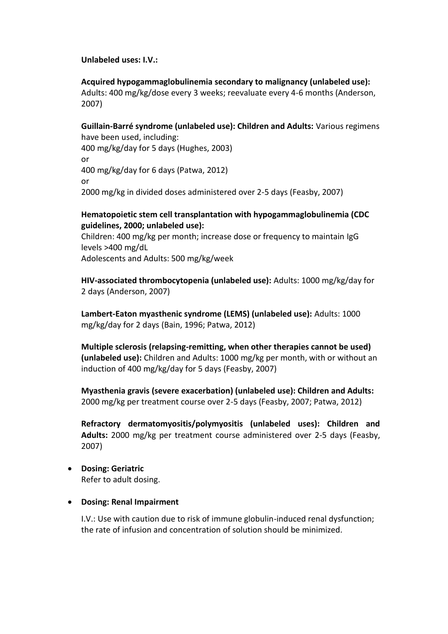#### **Unlabeled uses: I.V.:**

**Acquired hypogammaglobulinemia secondary to malignancy (unlabeled use):** Adults: 400 mg/kg/dose every 3 weeks; reevaluate every 4-6 months (Anderson, 2007)

**Guillain-Barré syndrome (unlabeled use): Children and Adults:** Various regimens have been used, including:

400 mg/kg/day for 5 days (Hughes, 2003) or 400 mg/kg/day for 6 days (Patwa, 2012) or 2000 mg/kg in divided doses administered over 2-5 days (Feasby, 2007)

### **Hematopoietic stem cell transplantation with hypogammaglobulinemia (CDC guidelines, 2000; unlabeled use):**

Children: 400 mg/kg per month; increase dose or frequency to maintain IgG levels >400 mg/dL

Adolescents and Adults: 500 mg/kg/week

**HIV-associated thrombocytopenia (unlabeled use):** Adults: 1000 mg/kg/day for 2 days (Anderson, 2007)

**Lambert-Eaton myasthenic syndrome (LEMS) (unlabeled use):** Adults: 1000 mg/kg/day for 2 days (Bain, 1996; Patwa, 2012)

**Multiple sclerosis (relapsing-remitting, when other therapies cannot be used) (unlabeled use):** Children and Adults: 1000 mg/kg per month, with or without an induction of 400 mg/kg/day for 5 days (Feasby, 2007)

**Myasthenia gravis (severe exacerbation) (unlabeled use): Children and Adults:** 2000 mg/kg per treatment course over 2-5 days (Feasby, 2007; Patwa, 2012)

**Refractory dermatomyositis/polymyositis (unlabeled uses): Children and Adults:** 2000 mg/kg per treatment course administered over 2-5 days (Feasby, 2007)

**Dosing: Geriatric**

Refer to adult dosing.

#### **Dosing: Renal Impairment**

I.V.: Use with caution due to risk of immune globulin-induced renal dysfunction; the rate of infusion and concentration of solution should be minimized.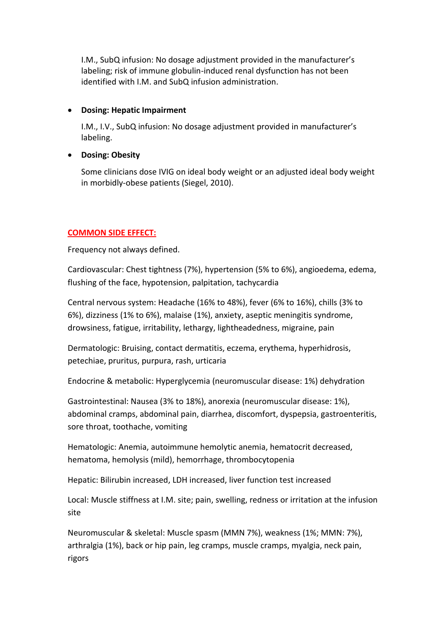I.M., SubQ infusion: No dosage adjustment provided in the manufacturer's labeling; risk of immune globulin-induced renal dysfunction has not been identified with I.M. and SubQ infusion administration.

### **Dosing: Hepatic Impairment**

I.M., I.V., SubQ infusion: No dosage adjustment provided in manufacturer's labeling.

## **Dosing: Obesity**

Some clinicians dose IVIG on ideal body weight or an adjusted ideal body weight in morbidly-obese patients (Siegel, 2010).

# **COMMON SIDE EFFECT:**

Frequency not always defined.

Cardiovascular: Chest tightness (7%), hypertension (5% to 6%), angioedema, edema, flushing of the face, hypotension, palpitation, tachycardia

Central nervous system: Headache (16% to 48%), fever (6% to 16%), chills (3% to 6%), dizziness (1% to 6%), malaise (1%), anxiety, aseptic meningitis syndrome, drowsiness, fatigue, irritability, lethargy, lightheadedness, migraine, pain

Dermatologic: Bruising, contact dermatitis, eczema, erythema, hyperhidrosis, petechiae, pruritus, purpura, rash, urticaria

Endocrine & metabolic: Hyperglycemia (neuromuscular disease: 1%) dehydration

Gastrointestinal: Nausea (3% to 18%), anorexia (neuromuscular disease: 1%), abdominal cramps, abdominal pain, diarrhea, discomfort, dyspepsia, gastroenteritis, sore throat, toothache, vomiting

Hematologic: Anemia, autoimmune hemolytic anemia, hematocrit decreased, hematoma, hemolysis (mild), hemorrhage, thrombocytopenia

Hepatic: Bilirubin increased, LDH increased, liver function test increased

Local: Muscle stiffness at I.M. site; pain, swelling, redness or irritation at the infusion site

Neuromuscular & skeletal: Muscle spasm (MMN 7%), weakness (1%; MMN: 7%), arthralgia (1%), back or hip pain, leg cramps, muscle cramps, myalgia, neck pain, rigors